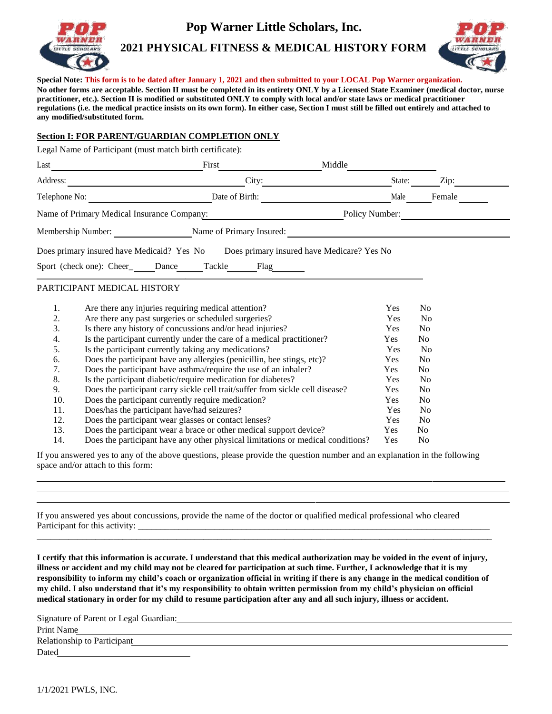

**Pop Warner Little Scholars, Inc.**

**2021 PHYSICAL FITNESS & MEDICAL HISTORY FORM**



**Special Note: This form is to be dated after January 1, 2021 and then submitted to your LOCAL Pop Warner organization.**

**No other forms are acceptable. Section II must be completed in its entirety ONLY by a Licensed State Examiner (medical doctor, nurse practitioner, etc.). Section II is modified or substituted ONLY to comply with local and/or state laws or medical practitioner regulations (i.e. the medical practice insists on its own form). In either case, Section I must still be filled out entirely and attached to any modified/substituted form.**

## **Section I: FOR PARENT/GUARDIAN COMPLETION ONLY**

Legal Name of Participant (must match birth certificate):

| Last                                       |       | First                    | Middle                                     |        |        |
|--------------------------------------------|-------|--------------------------|--------------------------------------------|--------|--------|
| Address:                                   |       | City:                    |                                            | State: | Zip:   |
| Telephone No:                              |       | Date of Birth:           |                                            | Male   | Female |
| Name of Primary Medical Insurance Company: |       |                          | Policy Number:                             |        |        |
| Membership Number:                         |       | Name of Primary Insured: |                                            |        |        |
| Does primary insured have Medicaid? Yes No |       |                          | Does primary insured have Medicare? Yes No |        |        |
| Sport (check one): Cheer                   | Dance | Tackle<br>Flag           |                                            |        |        |

## PARTICIPANT MEDICAL HISTORY

| 1.  | Are there any injuries requiring medical attention?                             | Yes        | N <sub>0</sub> |
|-----|---------------------------------------------------------------------------------|------------|----------------|
| 2.  | Are there any past surgeries or scheduled surgeries?                            | <b>Yes</b> | N <sub>0</sub> |
| 3.  | Is there any history of concussions and/or head injuries?                       | <b>Yes</b> | N <sub>0</sub> |
| 4.  | Is the participant currently under the care of a medical practitioner?          | <b>Yes</b> | N <sub>0</sub> |
| 5.  | Is the participant currently taking any medications?                            | <b>Yes</b> | N <sub>0</sub> |
| 6.  | Does the participant have any allergies (penicillin, bee stings, etc)?          | Yes.       | No.            |
| 7.  | Does the participant have asthma/require the use of an inhaler?                 | <b>Yes</b> | N <sub>0</sub> |
| 8.  | Is the participant diabetic/require medication for diabetes?                    | <b>Yes</b> | N <sub>0</sub> |
| 9.  | Does the participant carry sickle cell trait/suffer from sickle cell disease?   | Yes.       | No.            |
| 10. | Does the participant currently require medication?                              | <b>Yes</b> | N <sub>0</sub> |
| 11. | Does/has the participant have/had seizures?                                     | <b>Yes</b> | N <sub>0</sub> |
| 12. | Does the participant wear glasses or contact lenses?                            | <b>Yes</b> | N <sub>0</sub> |
| 13. | Does the participant wear a brace or other medical support device?              | <b>Yes</b> | No.            |
| 14. | Does the participant have any other physical limitations or medical conditions? | <b>Yes</b> | No.            |

If you answered yes to any of the above questions, please provide the question number and an explanation in the following space and/or attach to this form:

If you answered yes about concussions, provide the name of the doctor or qualified medical professional who cleared Participant for this activity:

**I certify that this information is accurate. I understand that this medical authorization may be voided in the event of injury, illness or accident and my child may not be cleared for participation at such time. Further, I acknowledge that it is my responsibility to inform my child's coach or organization official in writing if there is any change in the medical condition of my child. I also understand that it's my responsibility to obtain written permission from my child's physician on official medical stationary in order for my child to resume participation after any and all such injury, illness or accident.**

\_\_\_\_\_\_\_\_\_\_\_\_\_\_\_\_\_\_\_\_\_\_\_\_\_\_\_\_\_\_\_\_\_\_\_\_\_\_\_\_\_\_\_\_\_\_\_\_\_\_\_\_\_\_\_\_\_\_\_\_\_\_\_\_\_\_\_\_\_\_\_\_\_\_\_\_\_\_\_\_\_\_\_\_\_\_\_\_\_\_\_\_\_\_\_\_\_\_\_\_\_

| Signature of Parent or Legal Guardian: |  |
|----------------------------------------|--|
| Print Name                             |  |
| Relationship to Participant            |  |
| Dated                                  |  |